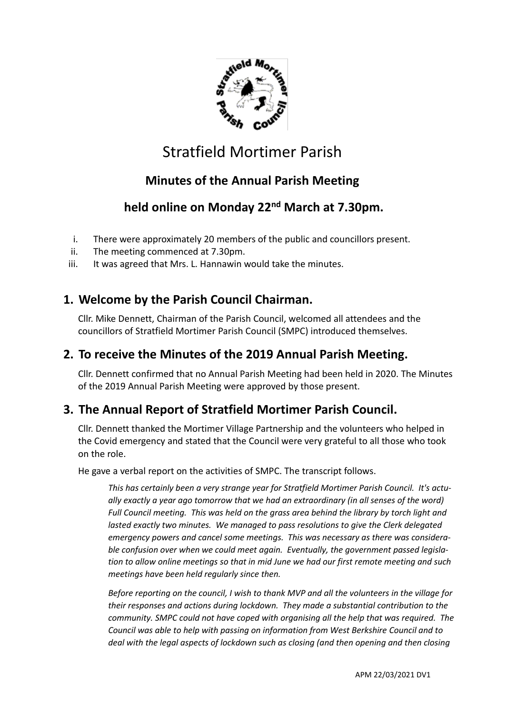

# Stratfield Mortimer Parish

## **Minutes of the Annual Parish Meeting**

## **held online on Monday 22nd March at 7.30pm.**

- i. There were approximately 20 members of the public and councillors present.
- ii. The meeting commenced at 7.30pm.
- iii. It was agreed that Mrs. L. Hannawin would take the minutes.

## **1. Welcome by the Parish Council Chairman.**

Cllr. Mike Dennett, Chairman of the Parish Council, welcomed all attendees and the councillors of Stratfield Mortimer Parish Council (SMPC) introduced themselves.

#### **2. To receive the Minutes of the 2019 Annual Parish Meeting.**

Cllr. Dennett confirmed that no Annual Parish Meeting had been held in 2020. The Minutes of the 2019 Annual Parish Meeting were approved by those present.

#### **3. The Annual Report of Stratfield Mortimer Parish Council.**

Cllr. Dennett thanked the Mortimer Village Partnership and the volunteers who helped in the Covid emergency and stated that the Council were very grateful to all those who took on the role.

He gave a verbal report on the activities of SMPC. The transcript follows.

*This has certainly been a very strange year for Stratfield Mortimer Parish Council. It's actually exactly a year ago tomorrow that we had an extraordinary (in all senses of the word) Full Council meeting. This was held on the grass area behind the library by torch light and lasted exactly two minutes. We managed to pass resolutions to give the Clerk delegated emergency powers and cancel some meetings. This was necessary as there was considerable confusion over when we could meet again. Eventually, the government passed legislation to allow online meetings so that in mid June we had our first remote meeting and such meetings have been held regularly since then.*

*Before reporting on the council, I wish to thank MVP and all the volunteers in the village for their responses and actions during lockdown. They made a substantial contribution to the community. SMPC could not have coped with organising all the help that was required. The Council was able to help with passing on information from West Berkshire Council and to deal with the legal aspects of lockdown such as closing (and then opening and then closing*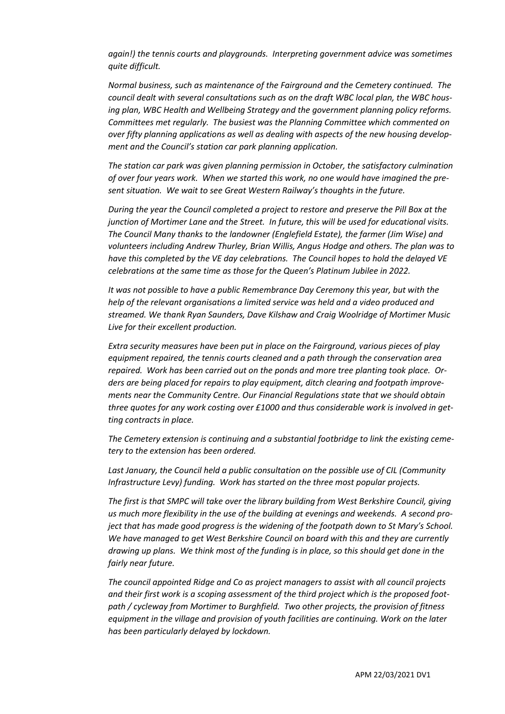*again!) the tennis courts and playgrounds. Interpreting government advice was sometimes quite difficult.*

*Normal business, such as maintenance of the Fairground and the Cemetery continued. The council dealt with several consultations such as on the draft WBC local plan, the WBC housing plan, WBC Health and Wellbeing Strategy and the government planning policy reforms. Committees met regularly. The busiest was the Planning Committee which commented on over fifty planning applications as well as dealing with aspects of the new housing development and the Council's station car park planning application.* 

*The station car park was given planning permission in October, the satisfactory culmination of over four years work. When we started this work, no one would have imagined the present situation. We wait to see Great Western Railway's thoughts in the future.*

*During the year the Council completed a project to restore and preserve the Pill Box at the junction of Mortimer Lane and the Street. In future, this will be used for educational visits. The Council Many thanks to the landowner (Englefield Estate), the farmer (Jim Wise) and volunteers including Andrew Thurley, Brian Willis, Angus Hodge and others. The plan was to have this completed by the VE day celebrations. The Council hopes to hold the delayed VE celebrations at the same time as those for the Queen's Platinum Jubilee in 2022.*

*It was not possible to have a public Remembrance Day Ceremony this year, but with the help of the relevant organisations a limited service was held and a video produced and streamed. We thank Ryan Saunders, Dave Kilshaw and Craig Woolridge of Mortimer Music Live for their excellent production.*

*Extra security measures have been put in place on the Fairground, various pieces of play equipment repaired, the tennis courts cleaned and a path through the conservation area repaired. Work has been carried out on the ponds and more tree planting took place. Orders are being placed for repairs to play equipment, ditch clearing and footpath improvements near the Community Centre. Our Financial Regulations state that we should obtain three quotes for any work costing over £1000 and thus considerable work is involved in getting contracts in place.*

*The Cemetery extension is continuing and a substantial footbridge to link the existing cemetery to the extension has been ordered.* 

*Last January, the Council held a public consultation on the possible use of CIL (Community Infrastructure Levy) funding. Work has started on the three most popular projects.* 

*The first is that SMPC will take over the library building from West Berkshire Council, giving us much more flexibility in the use of the building at evenings and weekends. A second project that has made good progress is the widening of the footpath down to St Mary's School. We have managed to get West Berkshire Council on board with this and they are currently drawing up plans. We think most of the funding is in place, so this should get done in the fairly near future.*

*The council appointed Ridge and Co as project managers to assist with all council projects and their first work is a scoping assessment of the third project which is the proposed footpath / cycleway from Mortimer to Burghfield. Two other projects, the provision of fitness equipment in the village and provision of youth facilities are continuing. Work on the later has been particularly delayed by lockdown.*